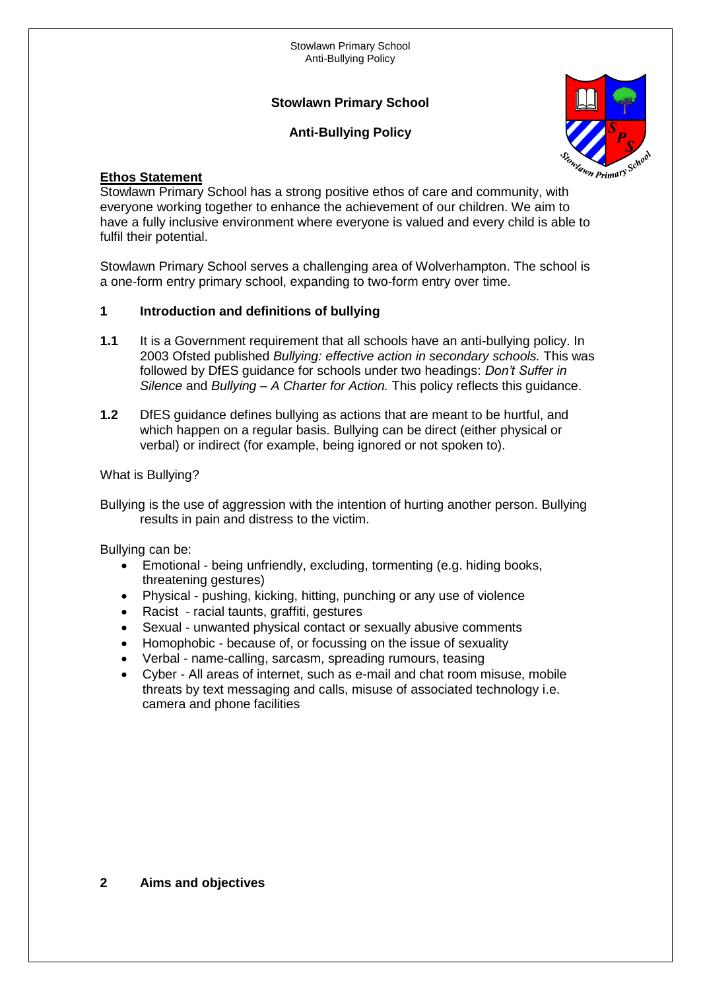## **Stowlawn Primary School**

# **Anti-Bullying Policy**



#### **Ethos Statement**

Stowlawn Primary School has a strong positive ethos of care and community, with everyone working together to enhance the achievement of our children. We aim to have a fully inclusive environment where everyone is valued and every child is able to fulfil their potential.

Stowlawn Primary School serves a challenging area of Wolverhampton. The school is a one-form entry primary school, expanding to two-form entry over time.

#### **1 Introduction and definitions of bullying**

- **1.1** It is a Government requirement that all schools have an anti-bullying policy. In 2003 Ofsted published *Bullying: effective action in secondary schools.* This was followed by DfES guidance for schools under two headings: *Don't Suffer in Silence* and *Bullying – A Charter for Action.* This policy reflects this guidance.
- **1.2** DfES guidance defines bullying as actions that are meant to be hurtful, and which happen on a regular basis. Bullying can be direct (either physical or verbal) or indirect (for example, being ignored or not spoken to).

#### What is Bullying?

Bullying is the use of aggression with the intention of hurting another person. Bullying results in pain and distress to the victim.

Bullying can be:

- Emotional being unfriendly, excluding, tormenting (e.g. hiding books, threatening gestures)
- Physical pushing, kicking, hitting, punching or any use of violence
- Racist racial taunts, graffiti, gestures
- Sexual unwanted physical contact or sexually abusive comments
- Homophobic because of, or focussing on the issue of sexuality
- Verbal name-calling, sarcasm, spreading rumours, teasing
- Cyber All areas of internet, such as e-mail and chat room misuse, mobile threats by text messaging and calls, misuse of associated technology i.e. camera and phone facilities

#### **2 Aims and objectives**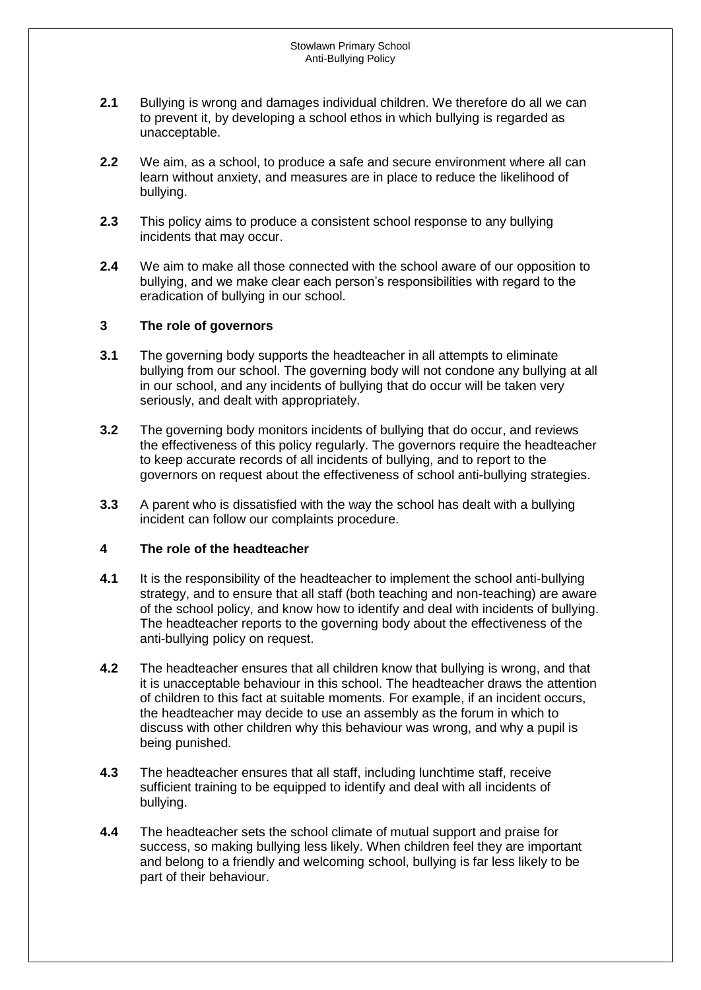- **2.1** Bullying is wrong and damages individual children. We therefore do all we can to prevent it, by developing a school ethos in which bullying is regarded as unacceptable.
- **2.2** We aim, as a school, to produce a safe and secure environment where all can learn without anxiety, and measures are in place to reduce the likelihood of bullying.
- **2.3** This policy aims to produce a consistent school response to any bullying incidents that may occur.
- **2.4** We aim to make all those connected with the school aware of our opposition to bullying, and we make clear each person's responsibilities with regard to the eradication of bullying in our school.

#### **3 The role of governors**

- **3.1** The governing body supports the headteacher in all attempts to eliminate bullying from our school. The governing body will not condone any bullying at all in our school, and any incidents of bullying that do occur will be taken very seriously, and dealt with appropriately.
- **3.2** The governing body monitors incidents of bullying that do occur, and reviews the effectiveness of this policy regularly. The governors require the headteacher to keep accurate records of all incidents of bullying, and to report to the governors on request about the effectiveness of school anti-bullying strategies.
- **3.3** A parent who is dissatisfied with the way the school has dealt with a bullying incident can follow our complaints procedure.

#### **4 The role of the headteacher**

- **4.1** It is the responsibility of the headteacher to implement the school anti-bullying strategy, and to ensure that all staff (both teaching and non-teaching) are aware of the school policy, and know how to identify and deal with incidents of bullying. The headteacher reports to the governing body about the effectiveness of the anti-bullying policy on request.
- **4.2** The headteacher ensures that all children know that bullying is wrong, and that it is unacceptable behaviour in this school. The headteacher draws the attention of children to this fact at suitable moments. For example, if an incident occurs, the headteacher may decide to use an assembly as the forum in which to discuss with other children why this behaviour was wrong, and why a pupil is being punished.
- **4.3** The headteacher ensures that all staff, including lunchtime staff, receive sufficient training to be equipped to identify and deal with all incidents of bullying.
- **4.4** The headteacher sets the school climate of mutual support and praise for success, so making bullying less likely. When children feel they are important and belong to a friendly and welcoming school, bullying is far less likely to be part of their behaviour.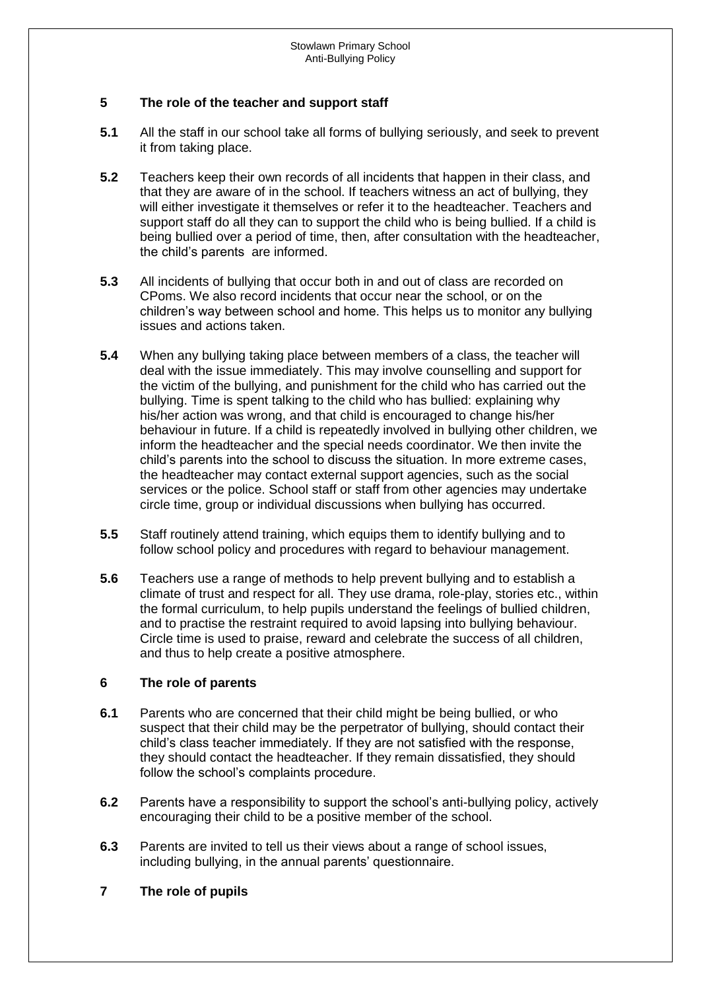#### **5 The role of the teacher and support staff**

- **5.1** All the staff in our school take all forms of bullying seriously, and seek to prevent it from taking place.
- **5.2** Teachers keep their own records of all incidents that happen in their class, and that they are aware of in the school. If teachers witness an act of bullying, they will either investigate it themselves or refer it to the headteacher. Teachers and support staff do all they can to support the child who is being bullied. If a child is being bullied over a period of time, then, after consultation with the headteacher, the child's parents are informed.
- **5.3** All incidents of bullying that occur both in and out of class are recorded on CPoms. We also record incidents that occur near the school, or on the children's way between school and home. This helps us to monitor any bullying issues and actions taken.
- **5.4** When any bullying taking place between members of a class, the teacher will deal with the issue immediately. This may involve counselling and support for the victim of the bullying, and punishment for the child who has carried out the bullying. Time is spent talking to the child who has bullied: explaining why his/her action was wrong, and that child is encouraged to change his/her behaviour in future. If a child is repeatedly involved in bullying other children, we inform the headteacher and the special needs coordinator. We then invite the child's parents into the school to discuss the situation. In more extreme cases, the headteacher may contact external support agencies, such as the social services or the police. School staff or staff from other agencies may undertake circle time, group or individual discussions when bullying has occurred.
- **5.5** Staff routinely attend training, which equips them to identify bullying and to follow school policy and procedures with regard to behaviour management.
- **5.6** Teachers use a range of methods to help prevent bullying and to establish a climate of trust and respect for all. They use drama, role-play, stories etc., within the formal curriculum, to help pupils understand the feelings of bullied children, and to practise the restraint required to avoid lapsing into bullying behaviour. Circle time is used to praise, reward and celebrate the success of all children, and thus to help create a positive atmosphere.

#### **6 The role of parents**

- **6.1** Parents who are concerned that their child might be being bullied, or who suspect that their child may be the perpetrator of bullying, should contact their child's class teacher immediately. If they are not satisfied with the response, they should contact the headteacher. If they remain dissatisfied, they should follow the school's complaints procedure.
- **6.2** Parents have a responsibility to support the school's anti-bullying policy, actively encouraging their child to be a positive member of the school.
- **6.3** Parents are invited to tell us their views about a range of school issues, including bullying, in the annual parents' questionnaire.
- **7 The role of pupils**